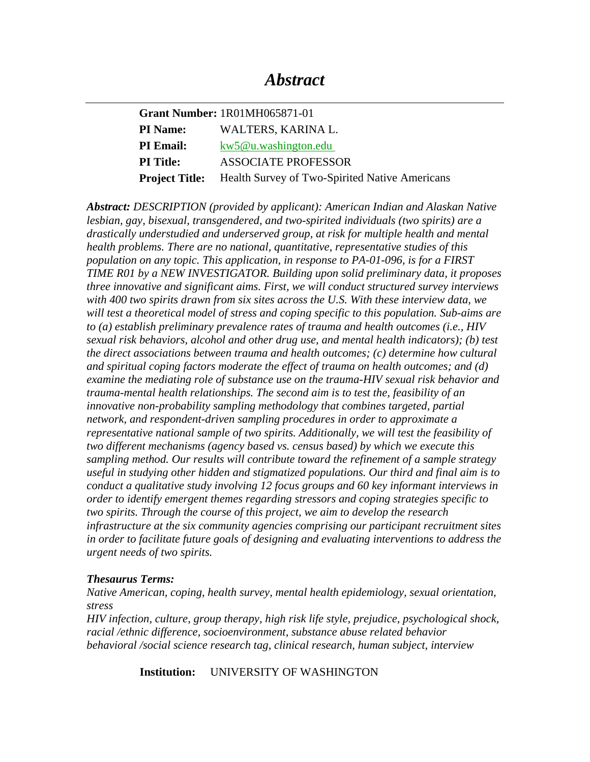|                  | <b>Grant Number: 1R01MH065871-01</b>                                 |
|------------------|----------------------------------------------------------------------|
| <b>PI</b> Name:  | WALTERS, KARINA L.                                                   |
| <b>PI Email:</b> | kw5@u.washington.edu                                                 |
| <b>PI</b> Title: | <b>ASSOCIATE PROFESSOR</b>                                           |
|                  | <b>Project Title:</b> Health Survey of Two-Spirited Native Americans |

*Abstract: DESCRIPTION (provided by applicant): American Indian and Alaskan Native lesbian, gay, bisexual, transgendered, and two-spirited individuals (two spirits) are a drastically understudied and underserved group, at risk for multiple health and mental health problems. There are no national, quantitative, representative studies of this population on any topic. This application, in response to PA-01-096, is for a FIRST TIME R01 by a NEW INVESTIGATOR. Building upon solid preliminary data, it proposes three innovative and significant aims. First, we will conduct structured survey interviews with 400 two spirits drawn from six sites across the U.S. With these interview data, we will test a theoretical model of stress and coping specific to this population. Sub-aims are to (a) establish preliminary prevalence rates of trauma and health outcomes (i.e., HIV sexual risk behaviors, alcohol and other drug use, and mental health indicators); (b) test the direct associations between trauma and health outcomes; (c) determine how cultural and spiritual coping factors moderate the effect of trauma on health outcomes; and (d) examine the mediating role of substance use on the trauma-HIV sexual risk behavior and trauma-mental health relationships. The second aim is to test the, feasibility of an innovative non-probability sampling methodology that combines targeted, partial network, and respondent-driven sampling procedures in order to approximate a representative national sample of two spirits. Additionally, we will test the feasibility of two different mechanisms (agency based vs. census based) by which we execute this sampling method. Our results will contribute toward the refinement of a sample strategy useful in studying other hidden and stigmatized populations. Our third and final aim is to conduct a qualitative study involving 12 focus groups and 60 key informant interviews in order to identify emergent themes regarding stressors and coping strategies specific to two spirits. Through the course of this project, we aim to develop the research infrastructure at the six community agencies comprising our participant recruitment sites in order to facilitate future goals of designing and evaluating interventions to address the urgent needs of two spirits.* 

### *Thesaurus Terms:*

*Native American, coping, health survey, mental health epidemiology, sexual orientation, stress* 

*HIV infection, culture, group therapy, high risk life style, prejudice, psychological shock, racial /ethnic difference, socioenvironment, substance abuse related behavior behavioral /social science research tag, clinical research, human subject, interview* 

**Institution:** UNIVERSITY OF WASHINGTON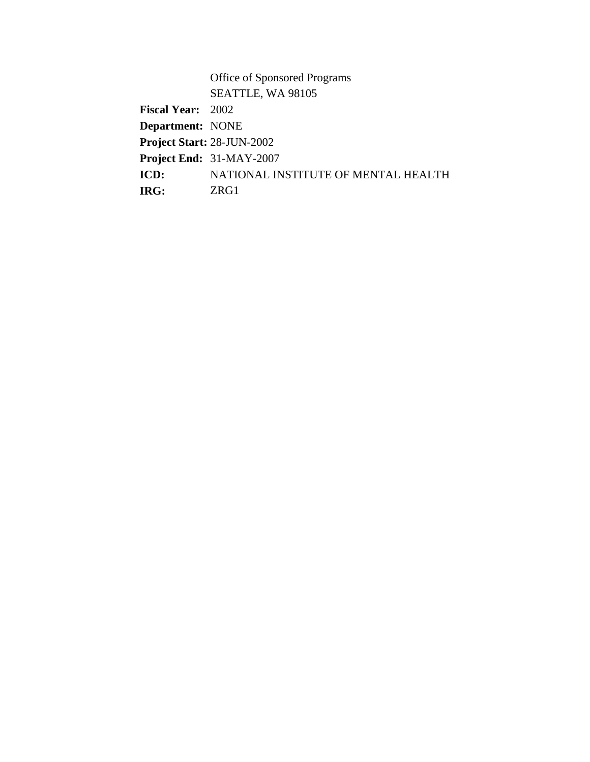Office of Sponsored Programs SEATTLE, WA 98105 **Fiscal Year:** 2002 **Department:** NONE **Project Start:** 28-JUN-2002 **Project End:** 31-MAY-2007 **ICD:** NATIONAL INSTITUTE OF MENTAL HEALTH **IRG:** ZRG1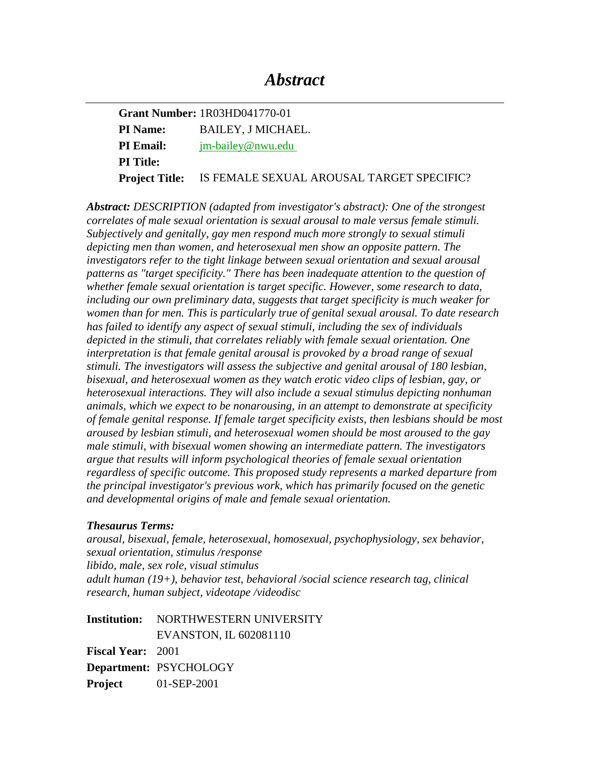# *Abstract*

**Grant Number:** 1R03HD041770-01 **PI Name:** BAILEY, J MICHAEL. **PI Email:** jm-bailey@nwu.edu **PI Title: Project Title:** IS FEMALE SEXUAL AROUSAL TARGET SPECIFIC?

*Abstract: DESCRIPTION (adapted from investigator's abstract): One of the strongest correlates of male sexual orientation is sexual arousal to male versus female stimuli. Subjectively and genitally, gay men respond much more strongly to sexual stimuli depicting men than women, and heterosexual men show an opposite pattern. The investigators refer to the tight linkage between sexual orientation and sexual arousal patterns as "target specificity." There has been inadequate attention to the question of whether female sexual orientation is target specific. However, some research to data, including our own preliminary data, suggests that target specificity is much weaker for women than for men. This is particularly true of genital sexual arousal. To date research has failed to identify any aspect of sexual stimuli, including the sex of individuals depicted in the stimuli, that correlates reliably with female sexual orientation. One interpretation is that female genital arousal is provoked by a broad range of sexual stimuli. The investigators will assess the subjective and genital arousal of 180 lesbian, bisexual, and heterosexual women as they watch erotic video clips of lesbian, gay, or heterosexual interactions. They will also include a sexual stimulus depicting nonhuman animals, which we expect to be nonarousing, in an attempt to demonstrate at specificity of female genital response. If female target specificity exists, then lesbians should be most aroused by lesbian stimuli, and heterosexual women should be most aroused to the gay male stimuli, with bisexual women showing an intermediate pattern. The investigators argue that results will inform psychological theories of female sexual orientation regardless of specific outcome. This proposed study represents a marked departure from the principal investigator's previous work, which has primarily focused on the genetic and developmental origins of male and female sexual orientation.* 

### *Thesaurus Terms:*

*arousal, bisexual, female, heterosexual, homosexual, psychophysiology, sex behavior, sexual orientation, stimulus /response libido, male, sex role, visual stimulus adult human (19+), behavior test, behavioral /social science research tag, clinical research, human subject, videotape /videodisc* 

**Institution:** NORTHWESTERN UNIVERSITY EVANSTON, IL 602081110 **Fiscal Year:** 2001 **Department:** PSYCHOLOGY **Project** 01-SEP-2001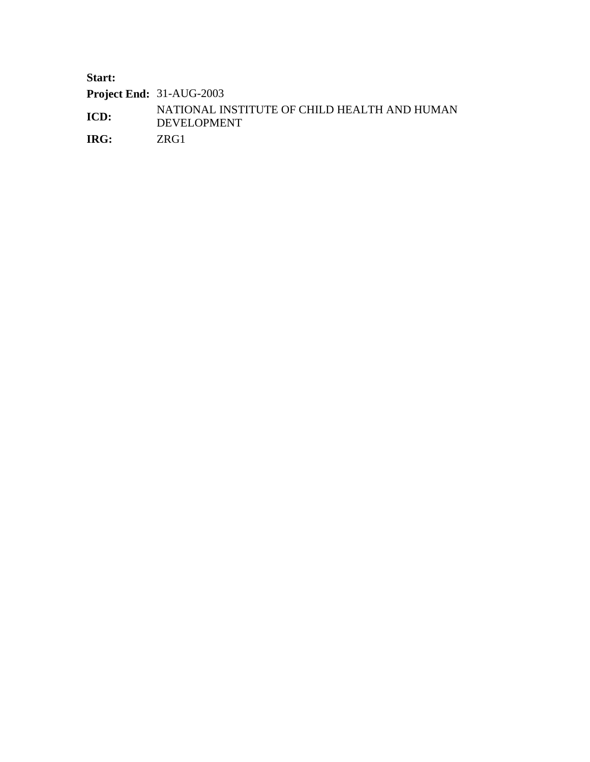**Start:** 

**Project End:** 31-AUG-2003

**ICD:** NATIONAL INSTITUTE OF CHILD HEALTH AND HUMAN DEVELOPMENT

**IRG:** ZRG1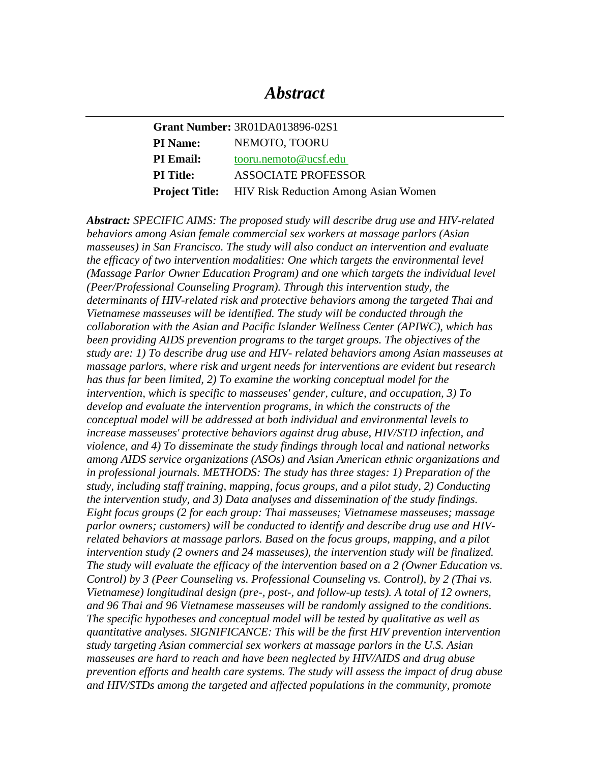## *Abstract*

| <b>Grant Number: 3R01DA013896-02S1</b> |                                                            |
|----------------------------------------|------------------------------------------------------------|
| <b>PI</b> Name:                        | NEMOTO, TOORU                                              |
| <b>PI Email:</b>                       | tooru.nemoto@ucsf.edu                                      |
| <b>PI</b> Title:                       | <b>ASSOCIATE PROFESSOR</b>                                 |
|                                        | <b>Project Title:</b> HIV Risk Reduction Among Asian Women |

*Abstract: SPECIFIC AIMS: The proposed study will describe drug use and HIV-related behaviors among Asian female commercial sex workers at massage parlors (Asian masseuses) in San Francisco. The study will also conduct an intervention and evaluate the efficacy of two intervention modalities: One which targets the environmental level (Massage Parlor Owner Education Program) and one which targets the individual level (Peer/Professional Counseling Program). Through this intervention study, the determinants of HIV-related risk and protective behaviors among the targeted Thai and Vietnamese masseuses will be identified. The study will be conducted through the collaboration with the Asian and Pacific Islander Wellness Center (APIWC), which has been providing AIDS prevention programs to the target groups. The objectives of the study are: 1) To describe drug use and HIV- related behaviors among Asian masseuses at massage parlors, where risk and urgent needs for interventions are evident but research has thus far been limited, 2) To examine the working conceptual model for the intervention, which is specific to masseuses' gender, culture, and occupation, 3) To develop and evaluate the intervention programs, in which the constructs of the conceptual model will be addressed at both individual and environmental levels to increase masseuses' protective behaviors against drug abuse, HIV/STD infection, and violence, and 4) To disseminate the study findings through local and national networks among AIDS service organizations (ASOs) and Asian American ethnic organizations and in professional journals. METHODS: The study has three stages: 1) Preparation of the study, including staff training, mapping, focus groups, and a pilot study, 2) Conducting the intervention study, and 3) Data analyses and dissemination of the study findings. Eight focus groups (2 for each group: Thai masseuses; Vietnamese masseuses; massage parlor owners; customers) will be conducted to identify and describe drug use and HIVrelated behaviors at massage parlors. Based on the focus groups, mapping, and a pilot intervention study (2 owners and 24 masseuses), the intervention study will be finalized. The study will evaluate the efficacy of the intervention based on a 2 (Owner Education vs. Control) by 3 (Peer Counseling vs. Professional Counseling vs. Control), by 2 (Thai vs. Vietnamese) longitudinal design (pre-, post-, and follow-up tests). A total of 12 owners, and 96 Thai and 96 Vietnamese masseuses will be randomly assigned to the conditions. The specific hypotheses and conceptual model will be tested by qualitative as well as quantitative analyses. SIGNIFICANCE: This will be the first HIV prevention intervention study targeting Asian commercial sex workers at massage parlors in the U.S. Asian masseuses are hard to reach and have been neglected by HIV/AIDS and drug abuse prevention efforts and health care systems. The study will assess the impact of drug abuse and HIV/STDs among the targeted and affected populations in the community, promote*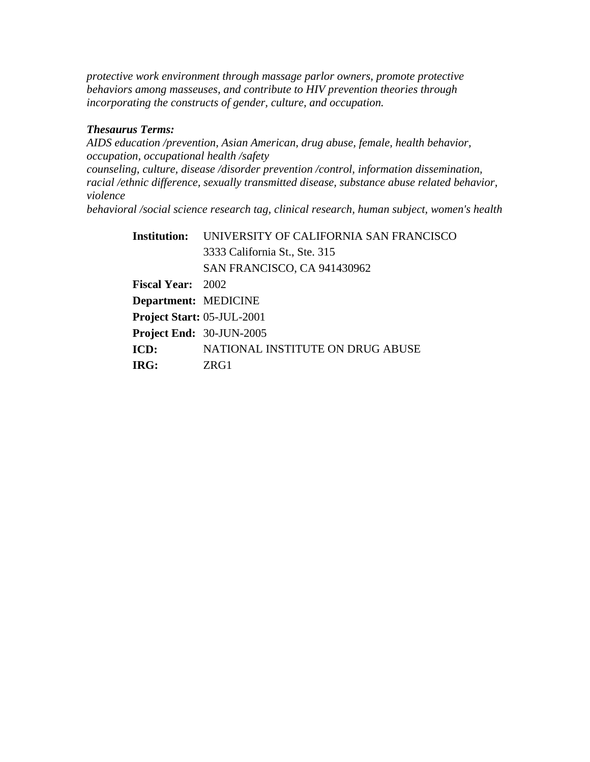*protective work environment through massage parlor owners, promote protective behaviors among masseuses, and contribute to HIV prevention theories through incorporating the constructs of gender, culture, and occupation.* 

### *Thesaurus Terms:*

*AIDS education /prevention, Asian American, drug abuse, female, health behavior, occupation, occupational health /safety counseling, culture, disease /disorder prevention /control, information dissemination, racial /ethnic difference, sexually transmitted disease, substance abuse related behavior, violence behavioral /social science research tag, clinical research, human subject, women's health* 

| <b>Institution:</b>        | UNIVERSITY OF CALIFORNIA SAN FRANCISCO |
|----------------------------|----------------------------------------|
|                            | 3333 California St., Ste. 315          |
|                            | SAN FRANCISCO, CA 941430962            |
| <b>Fiscal Year:</b> 2002   |                                        |
| Department: MEDICINE       |                                        |
| Project Start: 05-JUL-2001 |                                        |
| Project End: 30-JUN-2005   |                                        |
| ICD:                       | NATIONAL INSTITUTE ON DRUG ABUSE       |
| IRG:                       | ZRG1                                   |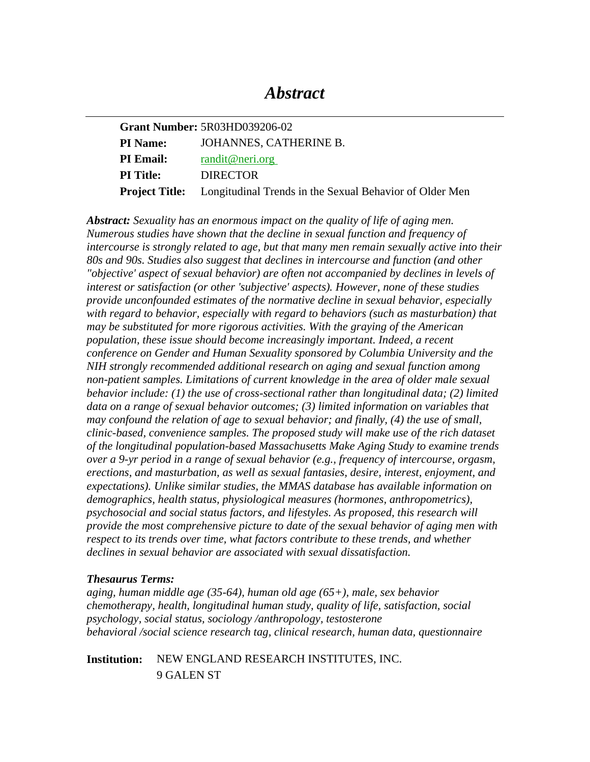## *Abstract*

|                  | <b>Grant Number: 5R03HD039206-02</b>                                          |
|------------------|-------------------------------------------------------------------------------|
| <b>PI Name:</b>  | JOHANNES, CATHERINE B.                                                        |
| <b>PI</b> Email: | randit@neri.org                                                               |
| <b>PI</b> Title: | <b>DIRECTOR</b>                                                               |
|                  | <b>Project Title:</b> Longitudinal Trends in the Sexual Behavior of Older Men |

*Abstract: Sexuality has an enormous impact on the quality of life of aging men. Numerous studies have shown that the decline in sexual function and frequency of intercourse is strongly related to age, but that many men remain sexually active into their 80s and 90s. Studies also suggest that declines in intercourse and function (and other "objective' aspect of sexual behavior) are often not accompanied by declines in levels of interest or satisfaction (or other 'subjective' aspects). However, none of these studies provide unconfounded estimates of the normative decline in sexual behavior, especially with regard to behavior, especially with regard to behaviors (such as masturbation) that may be substituted for more rigorous activities. With the graying of the American population, these issue should become increasingly important. Indeed, a recent conference on Gender and Human Sexuality sponsored by Columbia University and the NIH strongly recommended additional research on aging and sexual function among non-patient samples. Limitations of current knowledge in the area of older male sexual behavior include: (1) the use of cross-sectional rather than longitudinal data; (2) limited*  data on a range of sexual behavior outcomes; (3) limited information on variables that *may confound the relation of age to sexual behavior; and finally, (4) the use of small, clinic-based, convenience samples. The proposed study will make use of the rich dataset of the longitudinal population-based Massachusetts Make Aging Study to examine trends over a 9-yr period in a range of sexual behavior (e.g., frequency of intercourse, orgasm, erections, and masturbation, as well as sexual fantasies, desire, interest, enjoyment, and expectations). Unlike similar studies, the MMAS database has available information on demographics, health status, physiological measures (hormones, anthropometrics), psychosocial and social status factors, and lifestyles. As proposed, this research will provide the most comprehensive picture to date of the sexual behavior of aging men with respect to its trends over time, what factors contribute to these trends, and whether declines in sexual behavior are associated with sexual dissatisfaction.* 

#### *Thesaurus Terms:*

*aging, human middle age (35-64), human old age (65+), male, sex behavior chemotherapy, health, longitudinal human study, quality of life, satisfaction, social psychology, social status, sociology /anthropology, testosterone behavioral /social science research tag, clinical research, human data, questionnaire* 

**Institution:** NEW ENGLAND RESEARCH INSTITUTES, INC. 9 GALEN ST